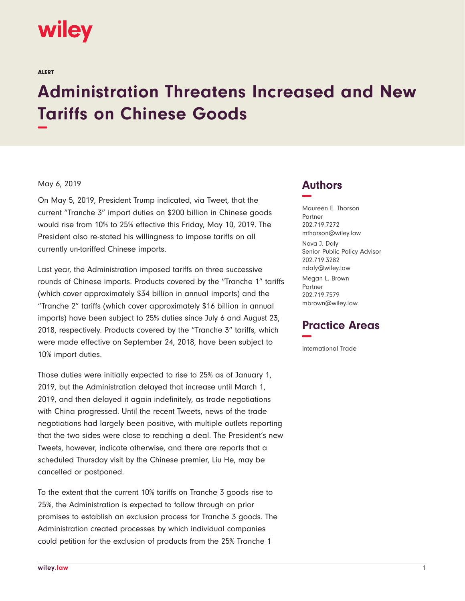# **wiley**

ALERT

# **Administration Threatens Increased and New Tariffs on Chinese Goods −**

#### May 6, 2019

On May 5, 2019, President Trump indicated, via Tweet, that the current "Tranche 3" import duties on \$200 billion in Chinese goods would rise from 10% to 25% effective this Friday, May 10, 2019. The President also re-stated his willingness to impose tariffs on all currently un-tariffed Chinese imports.

Last year, the Administration imposed tariffs on three successive rounds of Chinese imports. Products covered by the "Tranche 1" tariffs (which cover approximately \$34 billion in annual imports) and the "Tranche 2" tariffs (which cover approximately \$16 billion in annual imports) have been subject to 25% duties since July 6 and August 23, 2018, respectively. Products covered by the "Tranche 3" tariffs, which were made effective on September 24, 2018, have been subject to 10% import duties.

Those duties were initially expected to rise to 25% as of January 1, 2019, but the Administration delayed that increase until March 1, 2019, and then delayed it again indefinitely, as trade negotiations with China progressed. Until the recent Tweets, news of the trade negotiations had largely been positive, with multiple outlets reporting that the two sides were close to reaching a deal. The President's new Tweets, however, indicate otherwise, and there are reports that a scheduled Thursday visit by the Chinese premier, Liu He, may be cancelled or postponed.

To the extent that the current 10% tariffs on Tranche 3 goods rise to 25%, the Administration is expected to follow through on prior promises to establish an exclusion process for Tranche 3 goods. The Administration created processes by which individual companies could petition for the exclusion of products from the 25% Tranche 1

### **Authors −**

Maureen E. Thorson Partner 202.719.7272 mthorson@wiley.law

Nova J. Daly Senior Public Policy Advisor 202.719.3282 ndaly@wiley.law Megan L. Brown Partner 202.719.7579 mbrown@wiley.law

## **Practice Areas −**

International Trade